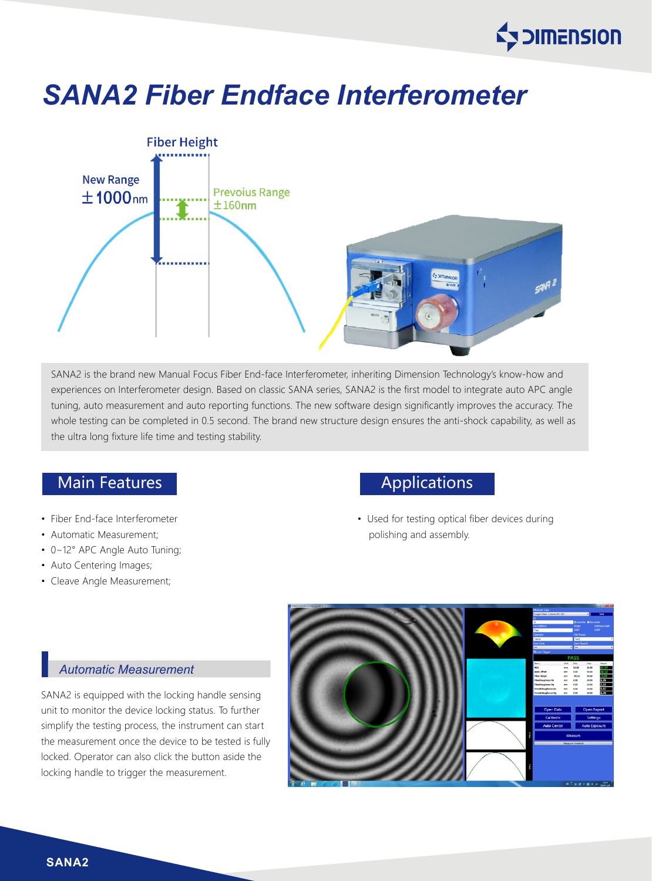# **Ey DIMENSION**

## *SANA2 Fiber Endface Interferometer*



SANA2 is the brand new Manual Focus Fiber End-face Interferometer, inheriting Dimension Technology's know-how and experiences on Interferometer design. Based on classic SANA series, SANA2 is the first model to integrate auto APC angle tuning, auto measurement and auto reporting functions. The new software design significantly improves the accuracy. The whole testing can be completed in 0.5 second. The brand new structure design ensures the anti-shock capability, as well as the ultra long fixture life time and testing stability.

### Main Features **Applications** Applications

- Fiber End-face Interferometer
- Automatic Measurement;
- 0~12° APC Angle Auto Tuning;
- Auto Centering Images;
- Cleave Angle Measurement;

• Used for testing optical fiber devices during polishing and assembly.

#### *Automatic Measurement*

SANA2 is equipped with the locking handle sensing unit to monitor the device locking status. To further simplify the testing process, the instrument can start the measurement once the device to be tested is fully locked. Operator can also click the button aside the locking handle to trigger the measurement.



**SANA2**